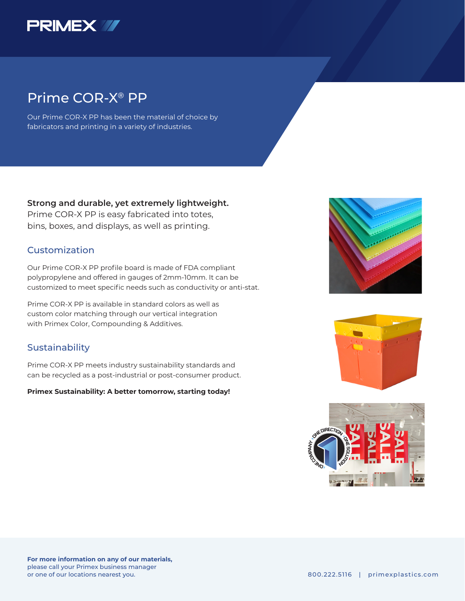

## Prime COR-X® PP

Our Prime COR-X PP has been the material of choice by fabricators and printing in a variety of industries.

### **Strong and durable, yet extremely lightweight.**

Prime COR-X PP is easy fabricated into totes, bins, boxes, and displays, as well as printing.

### Customization

Our Prime COR-X PP profile board is made of FDA compliant polypropylene and offered in gauges of 2mm-10mm. It can be customized to meet specific needs such as conductivity or anti-stat.

Prime COR-X PP is available in standard colors as well as custom color matching through our vertical integration with Primex Color, Compounding & Additives.

### **Sustainability**

Prime COR-X PP meets industry sustainability standards and can be recycled as a post-industrial or post-consumer product.

### **Primex Sustainability: A better tomorrow, starting today!**